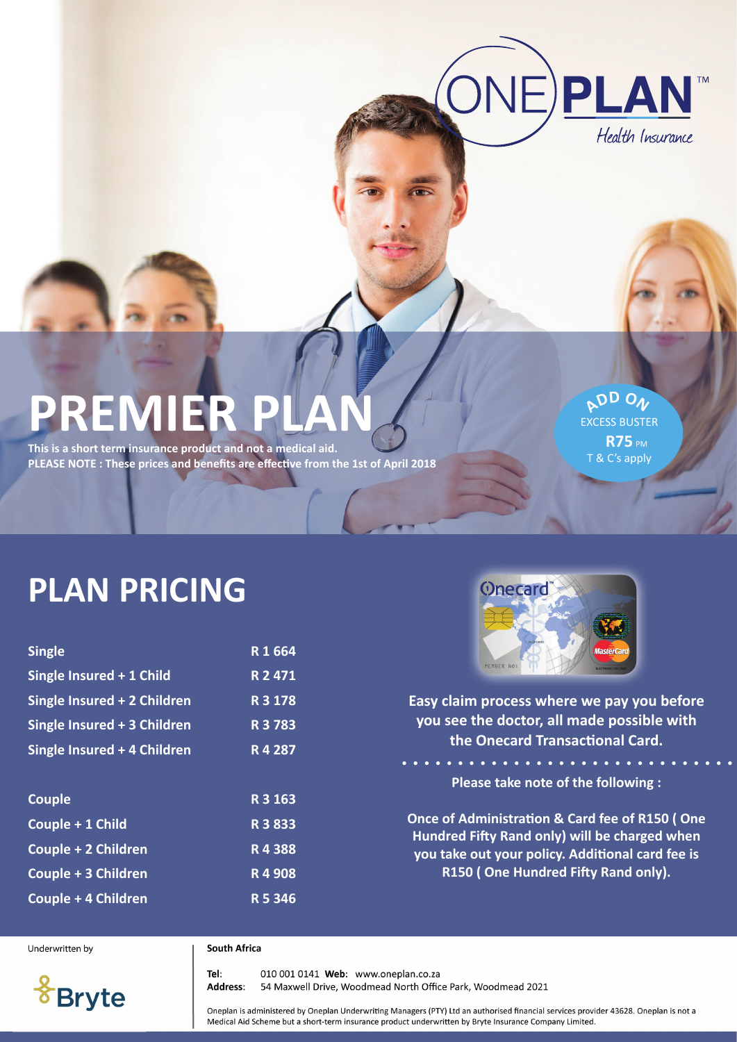

# **PREMIER PLAN**

**This is a short term insurance product and not a medical aid. PLEASE NOTE : These prices and benefits are effective from the 1st of April 2018**

**<sup>A</sup>D<sup>D</sup> <sup>O</sup><sup>N</sup>** EXCESS BUSTER **R75 PM** T & C's apply

## **PLAN PRICING**

| R1664     |
|-----------|
| R 2 471   |
| R 3 178   |
| R 3 7 8 3 |
| R4 287    |
|           |
| R 3 163   |
| R 3 8 3 3 |
| R4388     |
| R4908     |
| R 5 346   |
|           |



**Easy claim process where we pay you before you see the doctor, all made possible with the Onecard Transactional Card.** 

**Please take note of the following :**

**Once of Administration & Card fee of R150 ( One Hundred Fifty Rand only) will be charged when you take out your policy. Additional card fee is R150 ( One Hundred Fifty Rand only).**

Underwritten by

#### **South Africa**

**Bryte** 

010 001 0141 Web: www.oneplan.co.za Tel: Address: 54 Maxwell Drive, Woodmead North Office Park, Woodmead 2021

Oneplan is administered by Oneplan Underwriting Managers (PTY) Ltd an authorised financial services provider 43628. Oneplan is not a Medical Aid Scheme but a short-term insurance product underwritten by Bryte Insurance Company Limited.